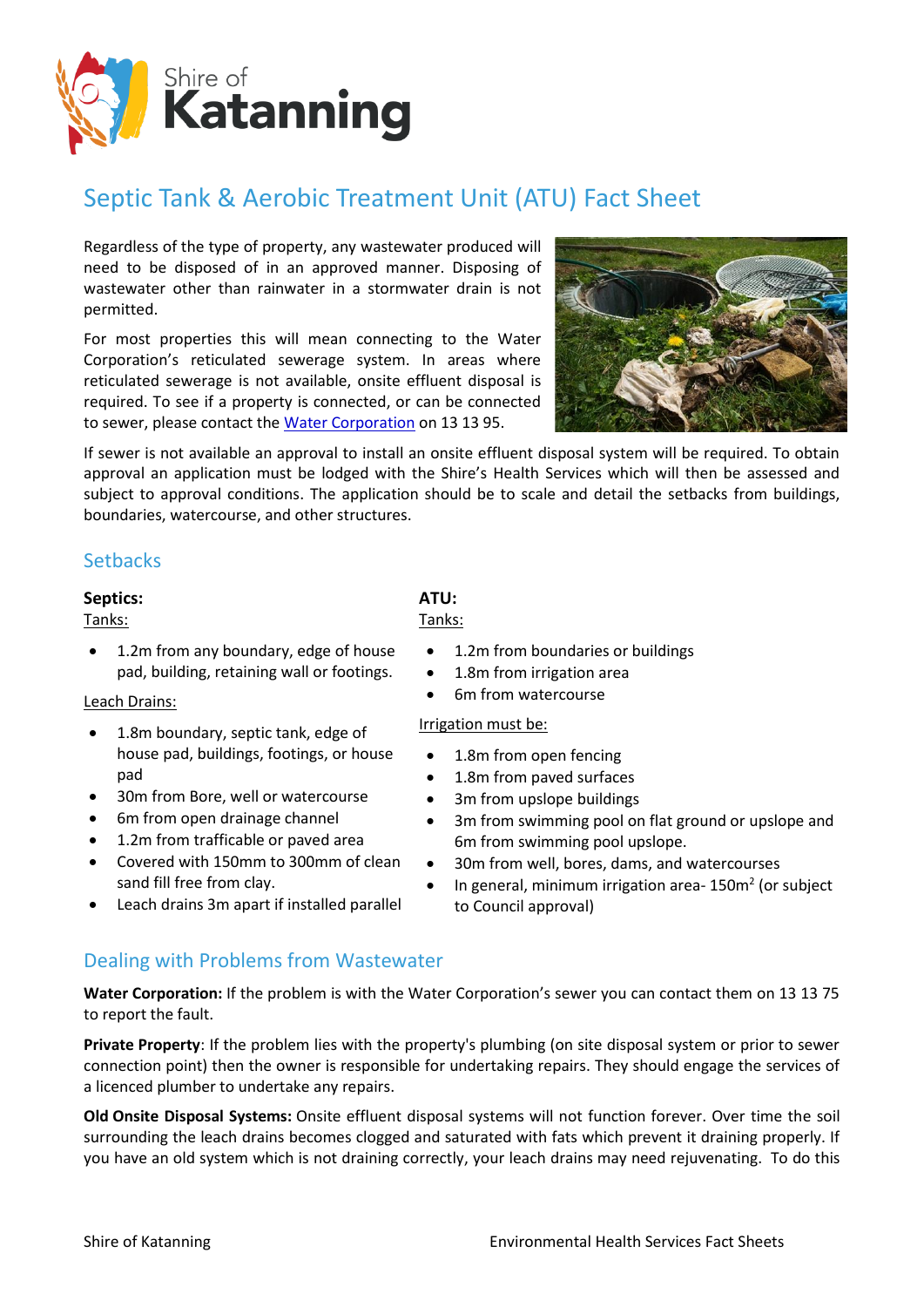

## Septic Tank & Aerobic Treatment Unit (ATU) Fact Sheet

Regardless of the type of property, any wastewater produced will need to be disposed of in an approved manner. Disposing of wastewater other than rainwater in a stormwater drain is not permitted.

For most properties this will mean connecting to the Water Corporation's reticulated sewerage system. In areas where reticulated sewerage is not available, onsite effluent disposal is required. To see if a property is connected, or can be connected to sewer, please contact the [Water Corporation](http://www.watercorporation.com.au/) on 13 13 95.



If sewer is not available an approval to install an onsite effluent disposal system will be required. To obtain approval an application must be lodged with the Shire's Health Services which will then be assessed and subject to approval conditions. The application should be to scale and detail the setbacks from buildings, boundaries, watercourse, and other structures.

### **Setbacks**

### **Septics:**

Tanks:

• 1.2m from any boundary, edge of house pad, building, retaining wall or footings.

#### Leach Drains:

- 1.8m boundary, septic tank, edge of house pad, buildings, footings, or house pad
- 30m from Bore, well or watercourse
- 6m from open drainage channel
- 1.2m from trafficable or paved area
- Covered with 150mm to 300mm of clean sand fill free from clay.
- Leach drains 3m apart if installed parallel

# Tanks:

- 1.2m from boundaries or buildings
- 1.8m from irrigation area
- 6m from watercourse

#### Irrigation must be:

- 1.8m from open fencing
- 1.8m from paved surfaces
- 3m from upslope buildings
- 3m from swimming pool on flat ground or upslope and 6m from swimming pool upslope.
- 30m from well, bores, dams, and watercourses
- In general, minimum irrigation area-150 $m<sup>2</sup>$  (or subject to Council approval)

### Dealing with Problems from Wastewater

**Water Corporation:** If the problem is with the Water Corporation's sewer you can contact them on 13 13 75 to report the fault.

**Private Property**: If the problem lies with the property's plumbing (on site disposal system or prior to sewer connection point) then the owner is responsible for undertaking repairs. They should engage the services of a licenced plumber to undertake any repairs.

**Old Onsite Disposal Systems:** Onsite effluent disposal systems will not function forever. Over time the soil surrounding the leach drains becomes clogged and saturated with fats which prevent it draining properly. If you have an old system which is not draining correctly, your leach drains may need rejuvenating. To do this

**ATU:**